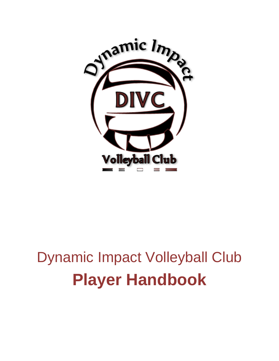

# Dynamic Impact Volleyball Club **Player Handbook**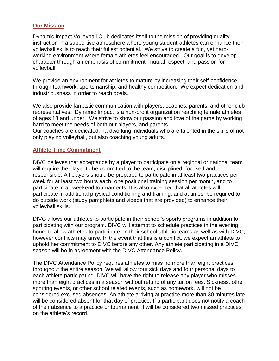### **Our Mission**

Dynamic Impact Volleyball Club dedicates itself to the mission of providing quality instruction in a supportive atmosphere where young student-athletes can enhance their volleyball skills to reach their fullest potential. We strive to create a fun, yet hardworking environment where female athletes feel encouraged. Our goal is to develop character through an emphasis of commitment, mutual respect, and passion for volleyball.

We provide an environment for athletes to mature by increasing their self-confidence through teamwork, sportsmanship, and healthy competition. We expect dedication and industriousness in order to reach goals.

We also provide fantastic communication with players, coaches, parents, and other club representatives. Dynamic Impact is a non-profit organization reaching female athletes of ages 18 and under. We strive to show our passion and love of the game by working hard to meet the needs of both our players, and parents.

Our coaches are dedicated, hardworking individuals who are talented in the skills of not only playing volleyball, but also coaching young adults.

#### **Athlete Time Commitment**

DIVC believes that acceptance by a player to participate on a regional or national team will require the player to be committed to the team, disciplined, focused and responsible. All players should be prepared to participate in at least two practices per week for at least two hours each, one positional training session per month, and to participate in all weekend tournaments. It is also expected that all athletes will participate in additional physical conditioning and training, and at times, be required to do outside work (study pamphlets and videos that are provided) to enhance their volleyball skills.

DIVC allows our athletes to participate in their school's sports programs in addition to participating with our program. DIVC will attempt to schedule practices in the evening hours to allow athletes to participate on their school athletic teams as well as with DIVC, however conflicts may arise. In the event that this is a conflict, we expect an athlete to uphold her commitment to DIVC before any other. Any athlete participating in a DIVC season will be in agreement with the DIVC Attendance Policy.

The DIVC Attendance Policy requires athletes to miss no more than eight practices throughout the entire season. We will allow four sick days and four personal days to each athlete participating. DIVC will have the right to release any player who misses more than eight practices in a season without refund of any tuition fees. Sickness, other sporting events, or other school related events, such as homework, will not be considered excused absences. An athlete arriving at practice more than 30 minutes late will be considered absent for that day of practice. If a participant does not notify a coach of their absence to a practice or tournament, it will be considered two missed practices on the athlete's record.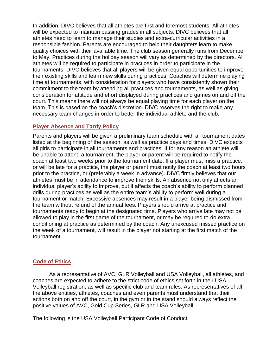In addition, DIVC believes that all athletes are first and foremost students. All athletes will be expected to maintain passing grades in all subjects. DIVC believes that all athletes need to learn to manage their studies and extra-curricular activities in a responsible fashion. Parents are encouraged to help their daughters learn to make quality choices with their available time. The club season generally runs from December to May. Practices during the holiday season will vary as determined by the directors. All athletes will be required to participate in practices in order to participate in the tournaments. DIVC believes that all players will be given equal opportunities to improve their existing skills and learn new skills during practices. Coaches will determine playing time at tournaments, with consideration for players who have consistently shown their commitment to the team by attending all practices and tournaments, as well as giving consideration for attitude and effort displayed during practices and games on and off the court. This means there will not always be equal playing time for each player on the team. This is based on the coach's discretion. DIVC reserves the right to make any necessary team changes in order to better the individual athlete and the club.

### **Player Absence and Tardy Policy**

Parents and players will be given a preliminary team schedule with all tournament dates listed at the beginning of the season, as well as practice days and times. DIVC expects all girls to participate in all tournaments and practices. If for any reason an athlete will be unable to attend a tournament, the player or parent will be required to notify the coach at least two weeks prior to the tournament date. If a player must miss a practice, or will be late for a practice, the player or parent must notify the coach at least two hours prior to the practice, or (preferably a week in advance). DIVC firmly believes that our athletes must be in attendance to improve their skills. An absence not only affects an individual player's ability to improve, but it affects the coach's ability to perform planned drills during practices as well as the entire team's ability to perform well during a tournament or match. Excessive absences may result in a player being dismissed from the team without refund of the annual fees. Players should arrive at practice and tournaments ready to begin at the designated time. Players who arrive late may not be allowed to play in the first game of the tournament, or may be required to do extra conditioning at practice as determined by the coach. Any unexcused missed practice on the week of a tournament, will result in the player not starting at the first match of the tournament.

## **Code of Ethics**

As a representative of AVC, GLR Volleyball and USA Volleyball, all athletes, and coaches are expected to adhere to the strict code of ethics set forth in their USA Volleyball registration, as well as specific club and team rules. As representatives of all the above entities, athletes, coaches and even parents must understand that their actions both on and off the court, in the gym or in the stand should always reflect the positive values of AVC, Gold Cup Series, GLR and USA Volleyball.

The following is the USA Volleyball Participant Code of Conduct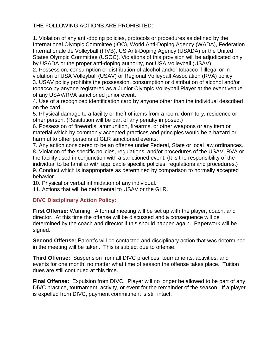## THE FOLLOWING ACTIONS ARE PROHIBITED:

1. Violation of any anti-doping policies, protocols or procedures as defined by the International Olympic Committee (IOC), World Anti-Doping Agency (WADA), Federation Internationale de Volleyball (FIVB), US Anti-Doping Agency (USADA) or the United States Olympic Committee (USOC). Violations of this provision will be adjudicated only by USADA or the proper anti-doping authority, not USA Volleyball (USAV).

2. Possession, consumption or distribution of alcohol and/or tobacco if illegal or in violation of USA Volleyball (USAV) or Regional Volleyball Association (RVA) policy. 3. USAV policy prohibits the possession, consumption or distribution of alcohol and/or tobacco by anyone registered as a Junior Olympic Volleyball Player at the event venue of any USAV/RVA sanctioned junior event.

4. Use of a recognized identification card by anyone other than the individual described on the card.

5. Physical damage to a facility or theft of items from a room, dormitory, residence or other person. (Restitution will be part of any penalty imposed.)

6. Possession of fireworks, ammunition, firearms, or other weapons or any item or material which by commonly accepted practices and principles would be a hazard or harmful to other persons at GLR sanctioned events.

7. Any action considered to be an offense under Federal, State or local law ordinances. 8. Violation of the specific policies, regulations, and/or procedures of the USAV, RVA or the facility used in conjunction with a sanctioned event. (It is the responsibility of the individual to be familiar with applicable specific policies, regulations and procedures.) 9. Conduct which is inappropriate as determined by comparison to normally accepted behavior.

10. Physical or verbal intimidation of any individual.

11. Actions that will be detrimental to USAV or the GLR.

## **DIVC Disciplinary Action Policy:**

**First Offense:** Warning. A formal meeting will be set up with the player, coach, and director. At this time the offense will be discussed and a consequence will be determined by the coach and director if this should happen again. Paperwork will be signed.

**Second Offense:** Parent's will be contacted and disciplinary action that was determined in the meeting will be taken. This is subject due to offense.

**Third Offense:** Suspension from all DIVC practices, tournaments, activities, and events for one month, no matter what time of season the offense takes place. Tuition dues are still continued at this time.

**Final Offense:** Expulsion from DIVC. Player will no longer be allowed to be part of any DIVC practice, tournament, activity, or event for the remainder of the season. If a player is expelled from DIVC, payment commitment is still intact.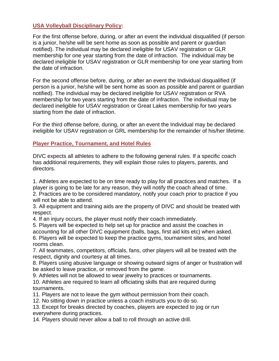## **USA Volleyball Disciplinary Policy:**

For the first offense before, during, or after an event the individual disqualified (if person is a junior, he/she will be sent home as soon as possible and parent or guardian notified). The individual may be declared ineligible for USAV registration or GLR membership for one year starting from the date of infraction. The individual may be declared ineligible for USAV registration or GLR membership for one year starting from the date of infraction.

For the second offense before, during, or after an event the Individual disqualified (if person is a junior, he/she will be sent home as soon as possible and parent or guardian notified). The individual may be declared ineligible for USAV registration or RVA membership for two years starting from the date of infraction. The individual may be declared ineligible for USAV registration or Great Lakes membership for two years starting from the date of infraction.

For the third offense before, during, or after an event the Individual may be declared ineligible for USAV registration or GRL membership for the remainder of his/her lifetime.

#### **Player Practice, Tournament, and Hotel Rules**

DIVC expects all athletes to adhere to the following general rules. If a specific coach has additional requirements, they will explain those rules to players, parents, and directors.

1. Athletes are expected to be on time ready to play for all practices and matches. If a player is going to be late for any reason, they will notify the coach ahead of time. 2. Practices are to be considered mandatory, notify your coach prior to practice if you will not be able to attend.

3. All equipment and training aids are the property of DIVC and should be treated with respect.

4. If an injury occurs, the player must notify their coach immediately.

5. Players will be expected to help set up for practice and assist the coaches in accounting for all other DIVC equipment (balls, bags, first aid kits etc) when asked. 6. Players will be expected to keep the practice gyms, tournament sites, and hotel rooms clean.

7. All teammates, competitors, officials, fans, other players will all be treated with the respect, dignity and courtesy at all times.

8. Players using abusive language or showing outward signs of anger or frustration will be asked to leave practice, or removed from the game.

9. Athletes will not be allowed to wear jewelry to practices or tournaments.

10. Athletes are required to learn all officiating skills that are required during tournaments.

11. Players are not to leave the gym without permission from their coach.

12. No sitting down in practice unless a coach instructs you to do so.

13. Except for breaks directed by coaches, players are expected to jog or run everywhere during practices.

14. Players should never allow a ball to roll through an active drill.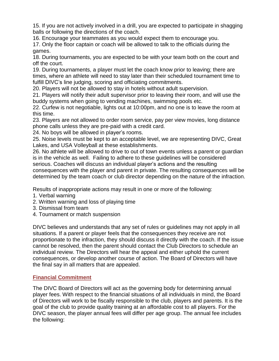15. If you are not actively involved in a drill, you are expected to participate in shagging balls or following the directions of the coach.

16. Encourage your teammates as you would expect them to encourage you.

17. Only the floor captain or coach will be allowed to talk to the officials during the games.

18. During tournaments, you are expected to be with your team both on the court and off the court.

19. During tournaments, a player must let the coach know prior to leaving; there are times, where an athlete will need to stay later than their scheduled tournament time to fulfill DIVC's line judging, scoring and officiating commitments.

20. Players will not be allowed to stay in hotels without adult supervision.

21. Players will notify their adult supervisor prior to leaving their room, and will use the buddy systems when going to vending machines, swimming pools etc.

22. Curfew is not negotiable, lights out at 10:00pm, and no one is to leave the room at this time.

23. Players are not allowed to order room service, pay per view movies, long distance phone calls unless they are pre-paid with a credit card.

24. No boys will be allowed in player's rooms.

25. Noise levels must be kept to an acceptable level, we are representing DIVC, Great Lakes, and USA Volleyball at these establishments.

26. No athlete will be allowed to drive to out of town events unless a parent or guardian is in the vehicle as well. Failing to adhere to these guidelines will be considered serious. Coaches will discuss an individual player's actions and the resulting consequences with the player and parent in private. The resulting consequences will be determined by the team coach or club director depending on the nature of the infraction.

Results of inappropriate actions may result in one or more of the following:

1. Verbal warning

2. Written warning and loss of playing time

- 3. Dismissal from team
- 4. Tournament or match suspension

DIVC believes and understands that any set of rules or guidelines may not apply in all situations. If a parent or player feels that the consequences they receive are not proportionate to the infraction, they should discuss it directly with the coach. If the issue cannot be resolved, then the parent should contact the Club Directors to schedule an individual review. The Directors will hear the appeal and either uphold the current consequences, or develop another course of action. The Board of Directors will have the final say in all matters that are appealed.

#### **Financial Commitment**

The DIVC Board of Directors will act as the governing body for determining annual player fees. With respect to the financial situations of all individuals in mind, the Board of Directors will work to be fiscally responsible to the club, players and parents. It is the goal of the club to provide quality training at an affordable cost to all players. For the DIVC season, the player annual fees will differ per age group. The annual fee includes the following: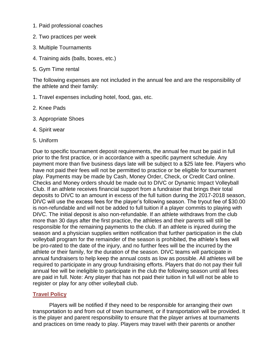- 1. Paid professional coaches
- 2. Two practices per week
- 3. Multiple Tournaments
- 4. Training aids (balls, boxes, etc.)
- 5. Gym Time rental

The following expenses are not included in the annual fee and are the responsibility of the athlete and their family:

- 1. Travel expenses including hotel, food, gas, etc.
- 2. Knee Pads
- 3. Appropriate Shoes
- 4. Spirit wear
- 5. Uniform

Due to specific tournament deposit requirements, the annual fee must be paid in full prior to the first practice, or in accordance with a specific payment schedule. Any payment more than five business days late will be subject to a \$25 late fee. Players who have not paid their fees will not be permitted to practice or be eligible for tournament play. Payments may be made by Cash, Money Order, Check, or Credit Card online. Checks and Money orders should be made out to DIVC or Dynamic Impact Volleyball Club. If an athlete receives financial support from a fundraiser that brings their total deposits to DIVC to an amount in excess of the full tuition during the 2017-2018 season, DIVC will use the excess fees for the player's following season. The tryout fee of \$30.00 is non-refundable and will not be added to full tuition if a player commits to playing with DIVC. The initial deposit is also non-refundable. If an athlete withdraws from the club more than 30 days after the first practice, the athletes and their parents will still be responsible for the remaining payments to the club. If an athlete is injured during the season and a physician supplies written notification that further participation in the club volleyball program for the remainder of the season is prohibited, the athlete's fees will be pro-rated to the date of the injury, and no further fees will be the incurred by the athlete or their family, for the duration of the season. DIVC teams will participate in annual fundraisers to help keep the annual costs as low as possible. All athletes will be required to participate in any group fundraising efforts. Players that do not pay their full annual fee will be ineligible to participate in the club the following season until all fees are paid in full. Note: Any player that has not paid their tuition in full will not be able to register or play for any other volleyball club.

#### **Travel Policy**

Players will be notified if they need to be responsible for arranging their own transportation to and from out of town tournament, or if transportation will be provided. It is the player and parent responsibility to ensure that the player arrives at tournaments and practices on time ready to play. Players may travel with their parents or another